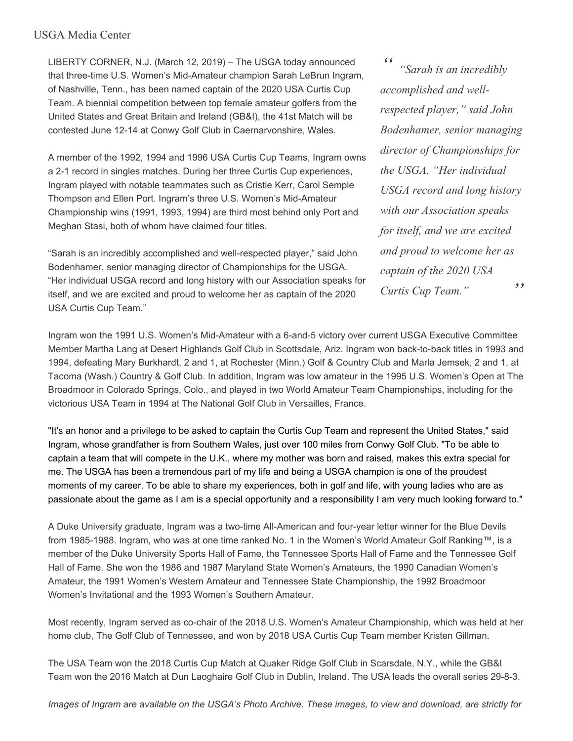## USGA Media Center

LIBERTY CORNER, N.J. (March 12, 2019) – The USGA today announced that three-time U.S. Women's Mid-Amateur champion Sarah LeBrun Ingram, of Nashville, Tenn., has been named captain of the 2020 USA Curtis Cup Team. A biennial competition between top female amateur golfers from the United States and Great Britain and Ireland (GB&I), the 41st Match will be contested June 12-14 at Conwy Golf Club in Caernarvonshire, Wales.

A member of the 1992, 1994 and 1996 USA Curtis Cup Teams, Ingram owns a 2-1 record in singles matches. During her three Curtis Cup experiences, Ingram played with notable teammates such as Cristie Kerr, Carol Semple Thompson and Ellen Port. Ingram's three U.S. Women's Mid-Amateur Championship wins (1991, 1993, 1994) are third most behind only Port and Meghan Stasi, both of whom have claimed four titles.

"Sarah is an incredibly accomplished and well-respected player," said John Bodenhamer, senior managing director of Championships for the USGA. "Her individual USGA record and long history with our Association speaks for itself, and we are excited and proud to welcome her as captain of the 2020 USA Curtis Cup Team."

*" " "Sarah is an incredibly accomplished and wellrespected player," said John Bodenhamer, senior managing director of Championships for the USGA. "Her individual USGA record and long history with our Association speaks for itself, and we are excited and proud to welcome her as captain of the 2020 USA Curtis Cup Team."*

Ingram won the 1991 U.S. Women's Mid-Amateur with a 6-and-5 victory over current USGA Executive Committee Member Martha Lang at Desert Highlands Golf Club in Scottsdale, Ariz. Ingram won back-to-back titles in 1993 and 1994, defeating Mary Burkhardt, 2 and 1, at Rochester (Minn.) Golf & Country Club and Marla Jemsek, 2 and 1, at Tacoma (Wash.) Country & Golf Club. In addition, Ingram was low amateur in the 1995 U.S. Women's Open at The Broadmoor in Colorado Springs, Colo., and played in two World Amateur Team Championships, including for the victorious USA Team in 1994 at The National Golf Club in Versailles, France.

"It's an honor and a privilege to be asked to captain the Curtis Cup Team and represent the United States," said Ingram, whose grandfather is from Southern Wales, just over 100 miles from Conwy Golf Club. "To be able to captain a team that will compete in the U.K., where my mother was born and raised, makes this extra special for me. The USGA has been a tremendous part of my life and being a USGA champion is one of the proudest moments of my career. To be able to share my experiences, both in golf and life, with young ladies who are as passionate about the game as I am is a special opportunity and a responsibility I am very much looking forward to."

A Duke University graduate, Ingram was a two-time All-American and four-year letter winner for the Blue Devils from 1985-1988. Ingram, who was at one time ranked No. 1 in the Women's World Amateur Golf Ranking™, is a member of the Duke University Sports Hall of Fame, the Tennessee Sports Hall of Fame and the Tennessee Golf Hall of Fame. She won the 1986 and 1987 Maryland State Women's Amateurs, the 1990 Canadian Women's Amateur, the 1991 Women's Western Amateur and Tennessee State Championship, the 1992 Broadmoor Women's Invitational and the 1993 Women's Southern Amateur.

Most recently, Ingram served as co-chair of the 2018 U.S. Women's Amateur Championship, which was held at her home club, The Golf Club of Tennessee, and won by 2018 USA Curtis Cup Team member Kristen Gillman.

The USA Team won the 2018 Curtis Cup Match at Quaker Ridge Golf Club in Scarsdale, N.Y., while the GB&I Team won the 2016 Match at Dun Laoghaire Golf Club in Dublin, Ireland. The USA leads the overall series 29-8-3.

Images of Ingram are available on the USGA's Photo Archive. These images, to view and download, are strictly for